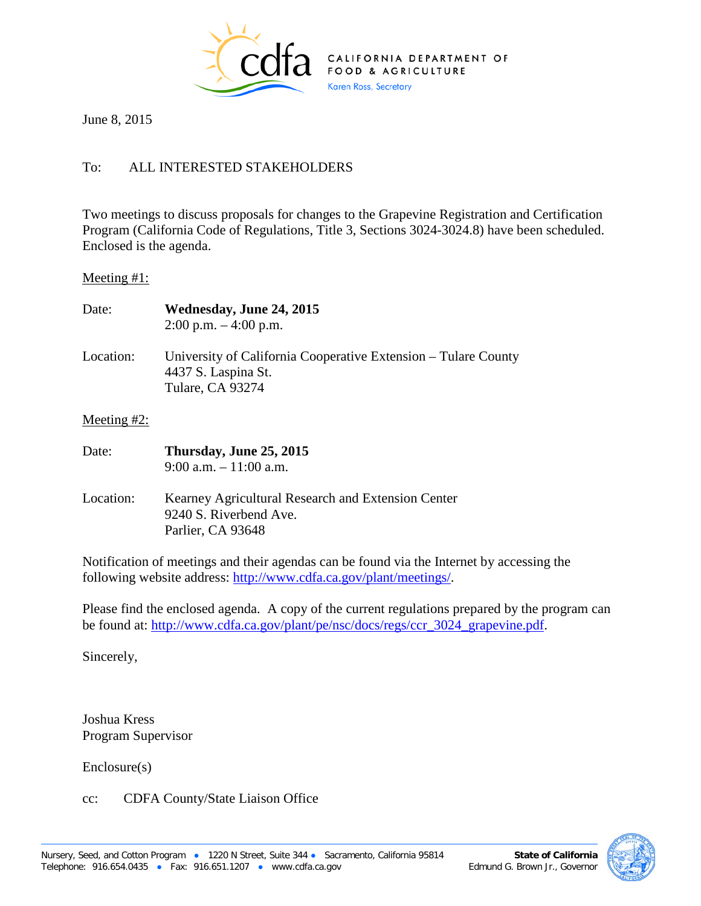

June 8, 2015

## To: ALL INTERESTED STAKEHOLDERS

Two meetings to discuss proposals for changes to the Grapevine Registration and Certification Program (California Code of Regulations, Title 3, Sections 3024-3024.8) have been scheduled. Enclosed is the agenda.

## Meeting #1:

| Date:          | Wednesday, June 24, 2015<br>$2:00$ p.m. $-4:00$ p.m.                                                             |
|----------------|------------------------------------------------------------------------------------------------------------------|
| Location:      | University of California Cooperative Extension – Tulare County<br>4437 S. Laspina St.<br><b>Tulare, CA 93274</b> |
| Meeting $#2$ : |                                                                                                                  |
| Date:          | Thursday, June 25, 2015<br>$9:00$ a.m. $-11:00$ a.m.                                                             |
| Location:      | Kearney Agricultural Research and Extension Center<br>9240 S. Riverbend Ave.<br>Parlier, CA 93648                |

Notification of meetings and their agendas can be found via the Internet by accessing the following website address: [http://www.cdfa.ca.gov/plant/meetings/.](http://www.cdfa.ca.gov/plant/meetings/)

Please find the enclosed agenda. A copy of the current regulations prepared by the program can be found at: [http://www.cdfa.ca.gov/plant/pe/nsc/docs/regs/ccr\\_3024\\_grapevine.pdf.](http://www.cdfa.ca.gov/plant/pe/nsc/docs/regs/ccr_3024_grapevine.pdf)

Sincerely,

Joshua Kress Program Supervisor

Enclosure(s)

cc: CDFA County/State Liaison Office